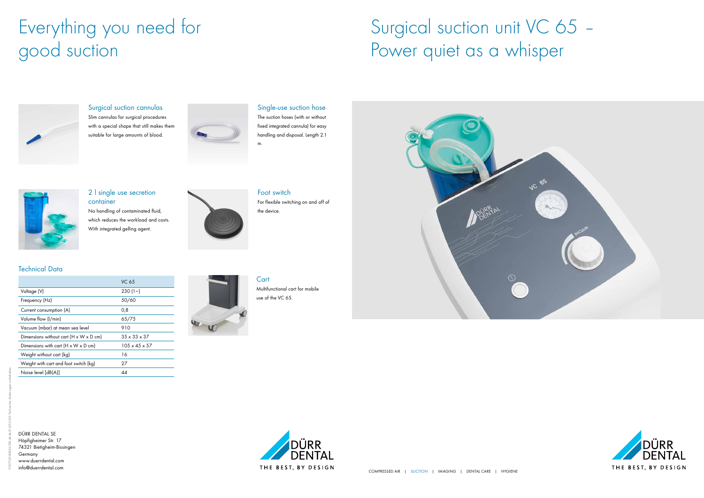DÜRR DENTAL SE Höpfigheimer Str. 17 74321 Bietigheim-Bissingen Germany www.duerrdental.com info@duerrdental.com



### 2 I single use secretion container

|                                                            | <b>VC 65</b>              |
|------------------------------------------------------------|---------------------------|
| Voltage (V)                                                | 230(1)                    |
| Frequency (Hz)                                             | 50/60                     |
| Current consumption (A)                                    | 0,8                       |
| Volume flow (I/min)                                        | 65/75                     |
| Vacuum (mbar) at mean sea level                            | 910                       |
| Dimensions without cart $(H \times W \times D \text{ cm})$ | $35 \times 33 \times 37$  |
| Dimensions with cart $(H \times W \times D$ cm)            | $105 \times 45 \times 57$ |
| Weight without cart (kg)                                   | 16                        |
| Weight with cart and foot switch (kg)                      | 27                        |
| Noise level [dB(A)]                                        | 44                        |



#### **Cart** Multifunctional cart for mobile use of the VC 65.





#### Technical Data

No handling of contaminated fluid, which reduces the workload and costs. With integrated gelling agent.

### Single-use suction hose

The suction hoses (with or without fixed integrated cannula) for easy handling and disposal. Length 2.1

m.





Foot switch For flexible switching on and off of the device.

### Surgical suction cannulas

Slim cannulas for surgical procedures with a special shape that still makes them suitable for large amounts of blood.



# Everything you need for good suction

# Surgical suction unit VC 65 -Power quiet as a whisper